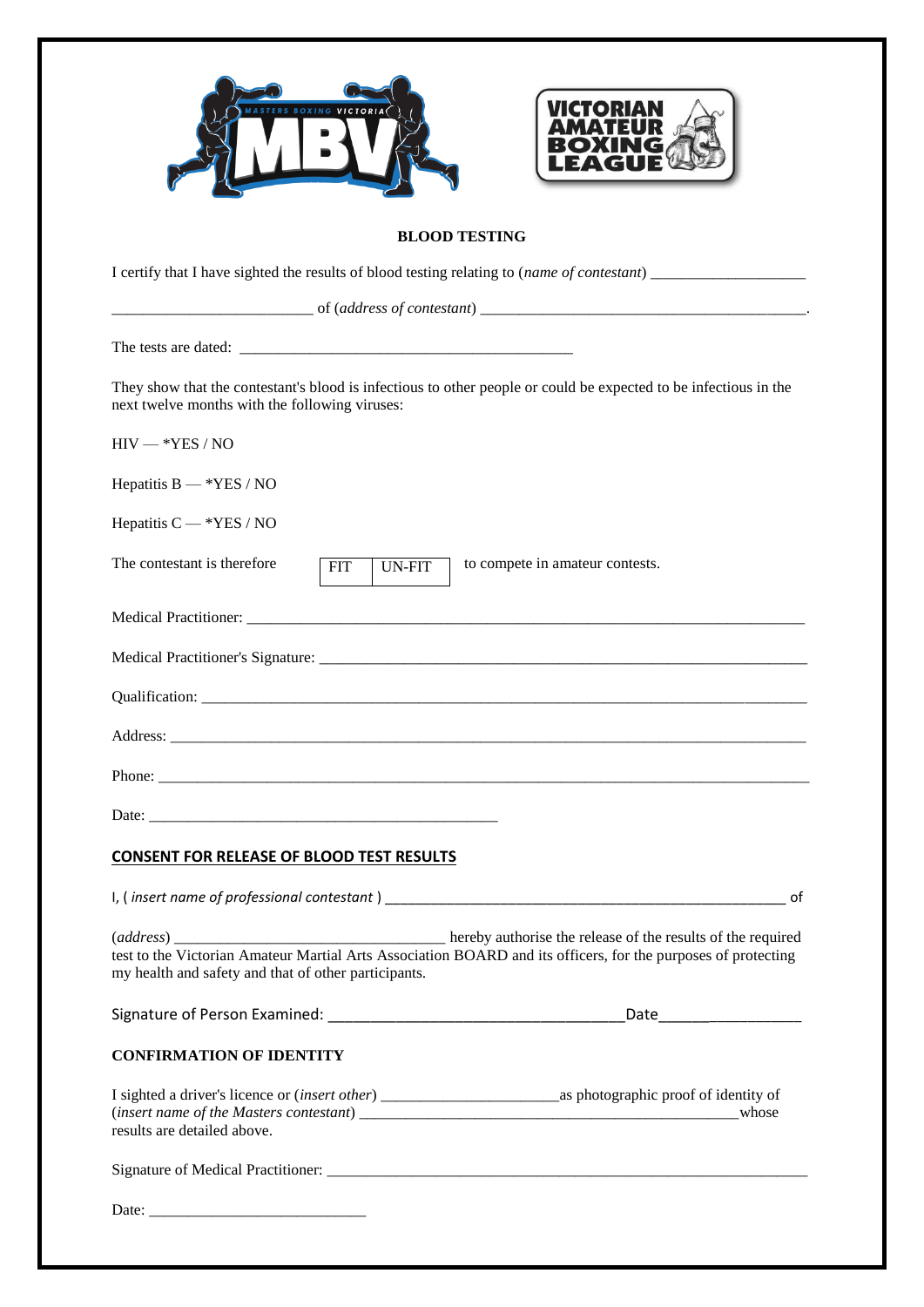| VICTORIAN                                                                                                                                                             |
|-----------------------------------------------------------------------------------------------------------------------------------------------------------------------|
| <b>BLOOD TESTING</b>                                                                                                                                                  |
|                                                                                                                                                                       |
|                                                                                                                                                                       |
|                                                                                                                                                                       |
| They show that the contestant's blood is infectious to other people or could be expected to be infectious in the<br>next twelve months with the following viruses:    |
| $HIV - *YES / NO$                                                                                                                                                     |
| Hepatitis $B - *YES / NO$                                                                                                                                             |
| Hepatitis $C - *YES / NO$                                                                                                                                             |
| The contestant is therefore<br>to compete in amateur contests.<br><b>FIT</b><br><b>UN-FIT</b>                                                                         |
|                                                                                                                                                                       |
|                                                                                                                                                                       |
|                                                                                                                                                                       |
| Address:                                                                                                                                                              |
|                                                                                                                                                                       |
|                                                                                                                                                                       |
| <b>CONSENT FOR RELEASE OF BLOOD TEST RESULTS</b>                                                                                                                      |
|                                                                                                                                                                       |
| test to the Victorian Amateur Martial Arts Association BOARD and its officers, for the purposes of protecting<br>my health and safety and that of other participants. |
| _Date_______________________                                                                                                                                          |
| <b>CONFIRMATION OF IDENTITY</b>                                                                                                                                       |
| results are detailed above.                                                                                                                                           |
|                                                                                                                                                                       |
|                                                                                                                                                                       |